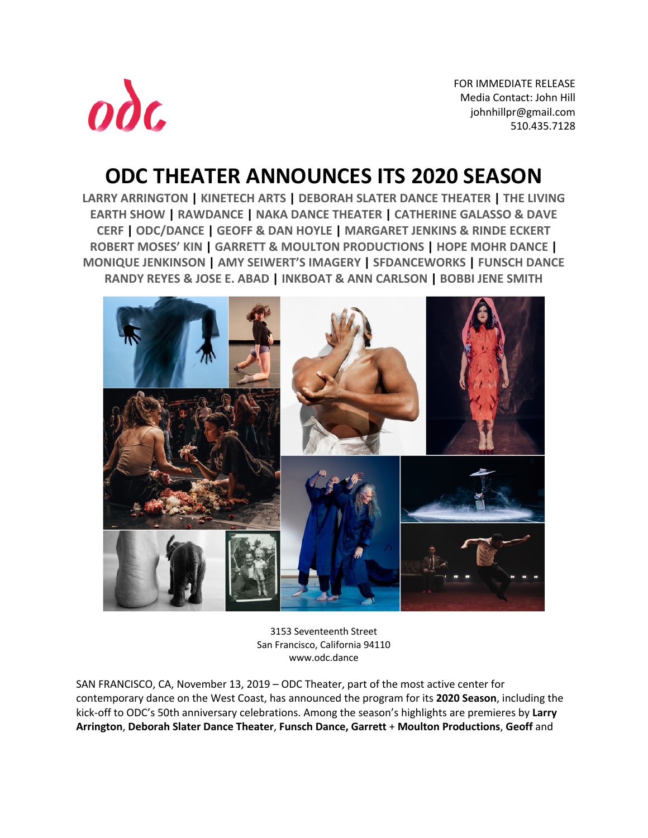

FOR IMMEDIATE RELEASE Media Contact: John Hill johnhillpr@gmail.com 510.435.7128

# **ODC THEATER ANNOUNCES ITS 2020 SEASON**

**LARRY ARRINGTON | KINETECH ARTS | DEBORAH SLATER DANCE THEATER | THE LIVING EARTH SHOW | RAWDANCE | NAKA DANCE THEATER | CATHERINE GALASSO & DAVE CERF | ODC/DANCE | GEOFF & DAN HOYLE | MARGARET JENKINS & RINDE ECKERT ROBERT MOSES' KIN | GARRETT & MOULTON PRODUCTIONS | HOPE MOHR DANCE | MONIQUE JENKINSON | AMY SEIWERT'S IMAGERY | SFDANCEWORKS | FUNSCH DANCE RANDY REYES & JOSE E. ABAD | INKBOAT & ANN CARLSON | BOBBI JENE SMITH**



3153 Seventeenth Street San Francisco, California 94110 www.odc.dance

SAN FRANCISCO, CA, November 13, 2019 – ODC Theater, part of the most active center for contemporary dance on the West Coast, has announced the program for its **2020 Season**, including the kick-off to ODC's 50th anniversary celebrations. Among the season's highlights are premieres by **Larry Arrington**, **Deborah Slater Dance Theater**, **Funsch Dance, Garrett** + **Moulton Productions**, **Geoff** and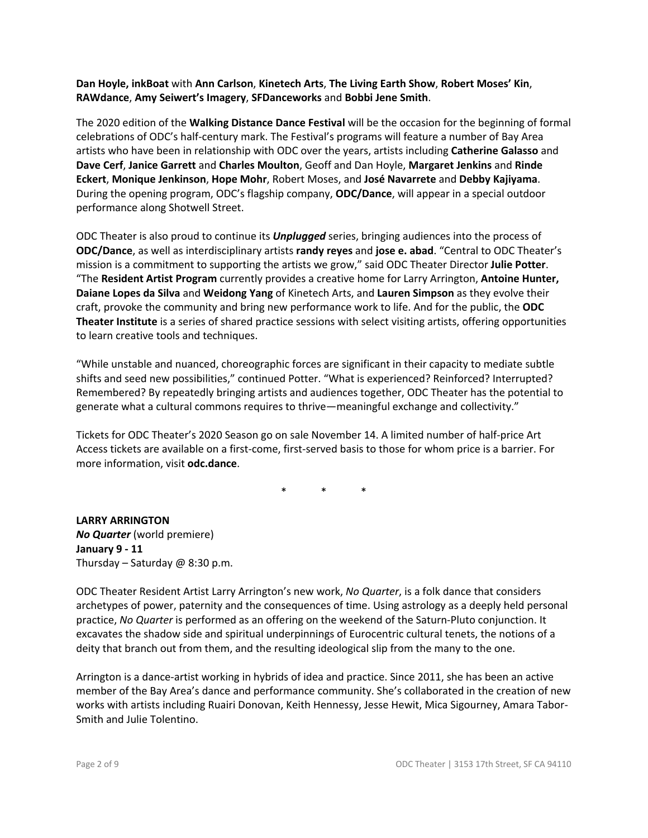**Dan Hoyle, inkBoat** with **Ann Carlson**, **Kinetech Arts**, **The Living Earth Show**, **Robert Moses' Kin**, **RAWdance**, **Amy Seiwert's Imagery**, **SFDanceworks** and **Bobbi Jene Smith**.

The 2020 edition of the **Walking Distance Dance Festival** will be the occasion for the beginning of formal celebrations of ODC's half-century mark. The Festival's programs will feature a number of Bay Area artists who have been in relationship with ODC over the years, artists including **Catherine Galasso** and **Dave Cerf**, **Janice Garrett** and **Charles Moulton**, Geoff and Dan Hoyle, **Margaret Jenkins** and **Rinde Eckert**, **Monique Jenkinson**, **Hope Mohr**, Robert Moses, and **José Navarrete** and **Debby Kajiyama**. During the opening program, ODC's flagship company, **ODC/Dance**, will appear in a special outdoor performance along Shotwell Street.

ODC Theater is also proud to continue its *Unplugged* series, bringing audiences into the process of **ODC/Dance**, as well as interdisciplinary artists **randy reyes** and **jose e. abad**. "Central to ODC Theater's mission is a commitment to supporting the artists we grow," said ODC Theater Director **Julie Potter**. "The **Resident Artist Program** currently provides a creative home for Larry Arrington, **Antoine Hunter, Daiane Lopes da Silva** and **Weidong Yang** of Kinetech Arts, and **Lauren Simpson** as they evolve their craft, provoke the community and bring new performance work to life. And for the public, the **ODC Theater Institute** is a series of shared practice sessions with select visiting artists, offering opportunities to learn creative tools and techniques.

"While unstable and nuanced, choreographic forces are significant in their capacity to mediate subtle shifts and seed new possibilities," continued Potter. "What is experienced? Reinforced? Interrupted? Remembered? By repeatedly bringing artists and audiences together, ODC Theater has the potential to generate what a cultural commons requires to thrive—meaningful exchange and collectivity."

Tickets for ODC Theater's 2020 Season go on sale November 14. A limited number of half-price Art Access tickets are available on a first-come, first-served basis to those for whom price is a barrier. For more information, visit **odc.dance**.

\* \* \*

**LARRY ARRINGTON** *No Quarter* (world premiere) **January 9 - 11** Thursday – Saturday  $\omega$  8:30 p.m.

ODC Theater Resident Artist Larry Arrington's new work, *No Quarter*, is a folk dance that considers archetypes of power, paternity and the consequences of time. Using astrology as a deeply held personal practice, *No Quarter* is performed as an offering on the weekend of the Saturn-Pluto conjunction. It excavates the shadow side and spiritual underpinnings of Eurocentric cultural tenets, the notions of a deity that branch out from them, and the resulting ideological slip from the many to the one.

Arrington is a dance-artist working in hybrids of idea and practice. Since 2011, she has been an active member of the Bay Area's dance and performance community. She's collaborated in the creation of new works with artists including Ruairi Donovan, Keith Hennessy, Jesse Hewit, Mica Sigourney, Amara Tabor-Smith and Julie Tolentino.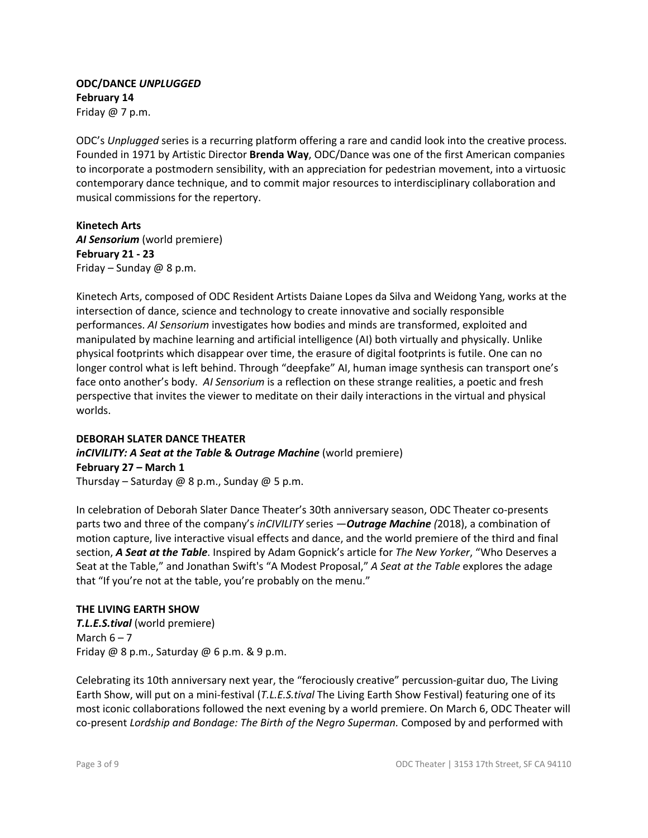## **ODC/DANCE** *UNPLUGGED* **February 14** Friday @ 7 p.m.

ODC's *Unplugged* series is a recurring platform offering a rare and candid look into the creative process. Founded in 1971 by Artistic Director **Brenda Way**, ODC/Dance was one of the first American companies to incorporate a postmodern sensibility, with an appreciation for pedestrian movement, into a virtuosic contemporary dance technique, and to commit major resources to interdisciplinary collaboration and musical commissions for the repertory.

**Kinetech Arts** AI Sensorium (world premiere) **February 21 - 23** Friday – Sunday  $\omega$  8 p.m.

Kinetech Arts, composed of ODC Resident Artists Daiane Lopes da Silva and Weidong Yang, works at the intersection of dance, science and technology to create innovative and socially responsible performances. *AI Sensorium* investigates how bodies and minds are transformed, exploited and manipulated by machine learning and artificial intelligence (AI) both virtually and physically. Unlike physical footprints which disappear over time, the erasure of digital footprints is futile. One can no longer control what is left behind. Through "deepfake" AI, human image synthesis can transport one's face onto another's body. *AI Sensorium* is a reflection on these strange realities, a poetic and fresh perspective that invites the viewer to meditate on their daily interactions in the virtual and physical worlds.

#### **DEBORAH SLATER DANCE THEATER**

#### *inCIVILITY: A Seat at the Table* **&** *Outrage Machine* (world premiere) **February 27 – March 1** Thursday – Saturday @ 8 p.m., Sunday @ 5 p.m.

In celebration of Deborah Slater Dance Theater's 30th anniversary season, ODC Theater co-presents parts two and three of the company's *inCIVILITY* series —*Outrage Machine (*2018), a combination of motion capture, live interactive visual effects and dance, and the world premiere of the third and final section, *A Seat at the Table*. Inspired by Adam Gopnick's article for *The New Yorker*, "Who Deserves a Seat at the Table," and Jonathan Swift's "A Modest Proposal," *A Seat at the Table* explores the adage that "If you're not at the table, you're probably on the menu."

#### **THE LIVING EARTH SHOW**

*T.L.E.S.tival* (world premiere) March  $6 - 7$ Friday  $@$  8 p.m., Saturday  $@$  6 p.m. & 9 p.m.

Celebrating its 10th anniversary next year, the "ferociously creative" percussion-guitar duo, The Living Earth Show, will put on a mini-festival (*T.L.E.S.tival* The Living Earth Show Festival) featuring one of its most iconic collaborations followed the next evening by a world premiere. On March 6, ODC Theater will co-present *Lordship and Bondage: The Birth of the Negro Superman.* Composed by and performed with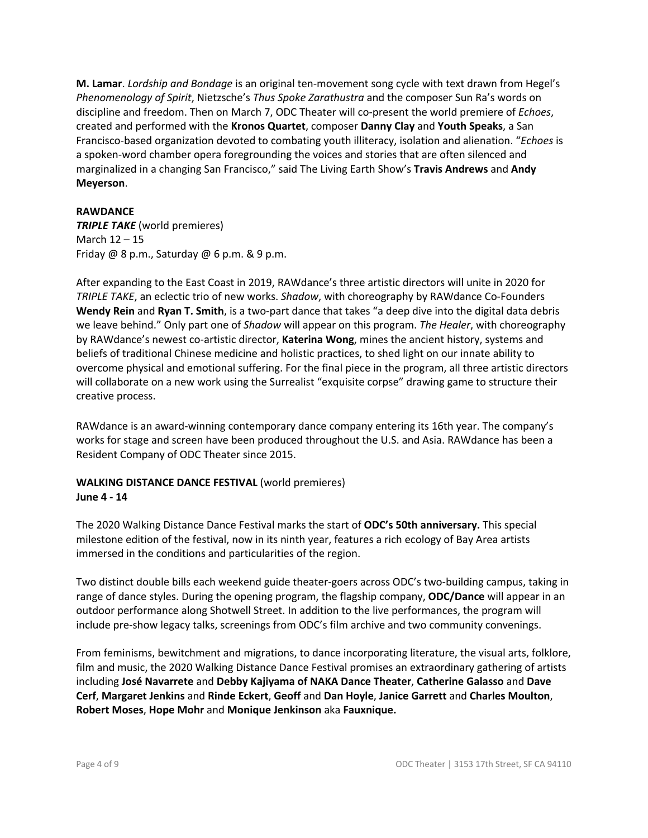**M. Lamar**. *Lordship and Bondage* is an original ten-movement song cycle with text drawn from Hegel's *Phenomenology of Spirit*, Nietzsche's *Thus Spoke Zarathustra* and the composer Sun Ra's words on discipline and freedom. Then on March 7, ODC Theater will co-present the world premiere of *Echoes*, created and performed with the **Kronos Quartet**, composer **Danny Clay** and **Youth Speaks**, a San Francisco-based organization devoted to combating youth illiteracy, isolation and alienation. "*Echoes* is a spoken-word chamber opera foregrounding the voices and stories that are often silenced and marginalized in a changing San Francisco," said The Living Earth Show's **Travis Andrews** and **Andy Meyerson**.

#### **RAWDANCE**

*TRIPLE TAKE* (world premieres) March 12 – 15 Friday  $@$  8 p.m., Saturday  $@$  6 p.m. & 9 p.m.

After expanding to the East Coast in 2019, RAWdance's three artistic directors will unite in 2020 for *TRIPLE TAKE*, an eclectic trio of new works. *Shadow*, with choreography by RAWdance Co-Founders **Wendy Rein** and **Ryan T. Smith**, is a two-part dance that takes "a deep dive into the digital data debris we leave behind." Only part one of *Shadow* will appear on this program. *The Healer*, with choreography by RAWdance's newest co-artistic director, **Katerina Wong**, mines the ancient history, systems and beliefs of traditional Chinese medicine and holistic practices, to shed light on our innate ability to overcome physical and emotional suffering. For the final piece in the program, all three artistic directors will collaborate on a new work using the Surrealist "exquisite corpse" drawing game to structure their creative process.

RAWdance is an award-winning contemporary dance company entering its 16th year. The company's works for stage and screen have been produced throughout the U.S. and Asia. RAWdance has been a Resident Company of ODC Theater since 2015.

#### **WALKING DISTANCE DANCE FESTIVAL** (world premieres) **June 4 - 14**

The 2020 Walking Distance Dance Festival marks the start of **ODC's 50th anniversary.** This special milestone edition of the festival, now in its ninth year, features a rich ecology of Bay Area artists immersed in the conditions and particularities of the region.

Two distinct double bills each weekend guide theater-goers across ODC's two-building campus, taking in range of dance styles. During the opening program, the flagship company, **ODC/Dance** will appear in an outdoor performance along Shotwell Street. In addition to the live performances, the program will include pre-show legacy talks, screenings from ODC's film archive and two community convenings.

From feminisms, bewitchment and migrations, to dance incorporating literature, the visual arts, folklore, film and music, the 2020 Walking Distance Dance Festival promises an extraordinary gathering of artists including **José Navarrete** and **Debby Kajiyama of NAKA Dance Theater**, **Catherine Galasso** and **Dave Cerf**, **Margaret Jenkins** and **Rinde Eckert**, **Geoff** and **Dan Hoyle**, **Janice Garrett** and **Charles Moulton**, **Robert Moses**, **Hope Mohr** and **Monique Jenkinson** aka **Fauxnique.**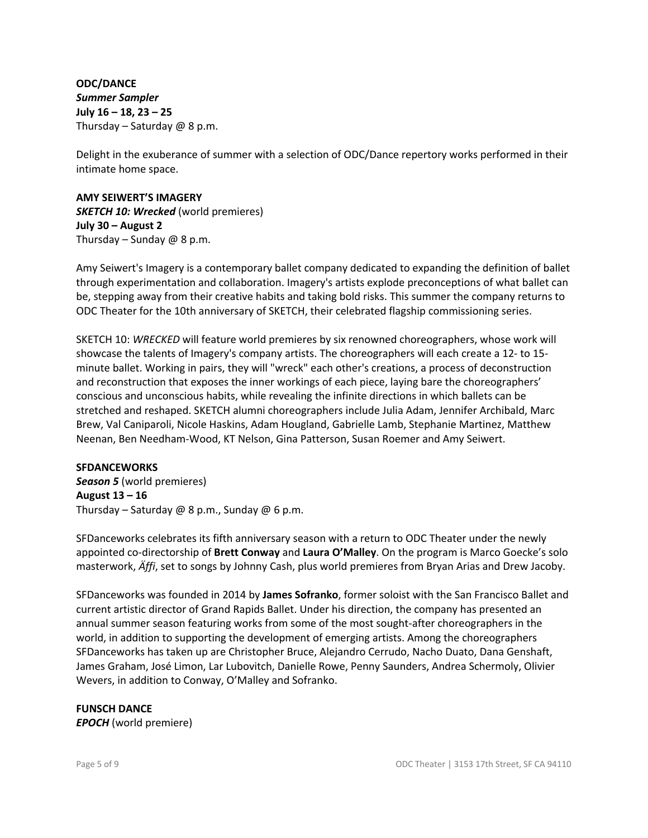**ODC/DANCE** *Summer Sampler* **July 16 – 18, 23 – 25** Thursday – Saturday  $@$  8 p.m.

Delight in the exuberance of summer with a selection of ODC/Dance repertory works performed in their intimate home space.

## **AMY SEIWERT'S IMAGERY** *SKETCH 10: Wrecked* (world premieres) **July 30 – August 2** Thursday – Sunday  $@$  8 p.m.

Amy Seiwert's Imagery is a contemporary ballet company dedicated to expanding the definition of ballet through experimentation and collaboration. Imagery's artists explode preconceptions of what ballet can be, stepping away from their creative habits and taking bold risks. This summer the company returns to ODC Theater for the 10th anniversary of SKETCH, their celebrated flagship commissioning series.

SKETCH 10: *WRECKED* will feature world premieres by six renowned choreographers, whose work will showcase the talents of Imagery's company artists. The choreographers will each create a 12- to 15 minute ballet. Working in pairs, they will "wreck" each other's creations, a process of deconstruction and reconstruction that exposes the inner workings of each piece, laying bare the choreographers' conscious and unconscious habits, while revealing the infinite directions in which ballets can be stretched and reshaped. SKETCH alumni choreographers include Julia Adam, Jennifer Archibald, Marc Brew, Val Caniparoli, Nicole Haskins, Adam Hougland, Gabrielle Lamb, Stephanie Martinez, Matthew Neenan, Ben Needham-Wood, KT Nelson, Gina Patterson, Susan Roemer and Amy Seiwert.

# **SFDANCEWORKS**

*Season 5* (world premieres) **August 13 – 16** Thursday – Saturday @ 8 p.m., Sunday @ 6 p.m.

SFDanceworks celebrates its fifth anniversary season with a return to ODC Theater under the newly appointed co-directorship of **Brett Conway** and **Laura O'Malley**. On the program is Marco Goecke's solo masterwork, *Äffi*, set to songs by Johnny Cash, plus world premieres from Bryan Arias and Drew Jacoby.

SFDanceworks was founded in 2014 by **James Sofranko**, former soloist with the San Francisco Ballet and current artistic director of Grand Rapids Ballet. Under his direction, the company has presented an annual summer season featuring works from some of the most sought-after choreographers in the world, in addition to supporting the development of emerging artists. Among the choreographers SFDanceworks has taken up are Christopher Bruce, Alejandro Cerrudo, Nacho Duato, Dana Genshaft, James Graham, José Limon, Lar Lubovitch, Danielle Rowe, Penny Saunders, Andrea Schermoly, Olivier Wevers, in addition to Conway, O'Malley and Sofranko.

# **FUNSCH DANCE**

*EPOCH* (world premiere)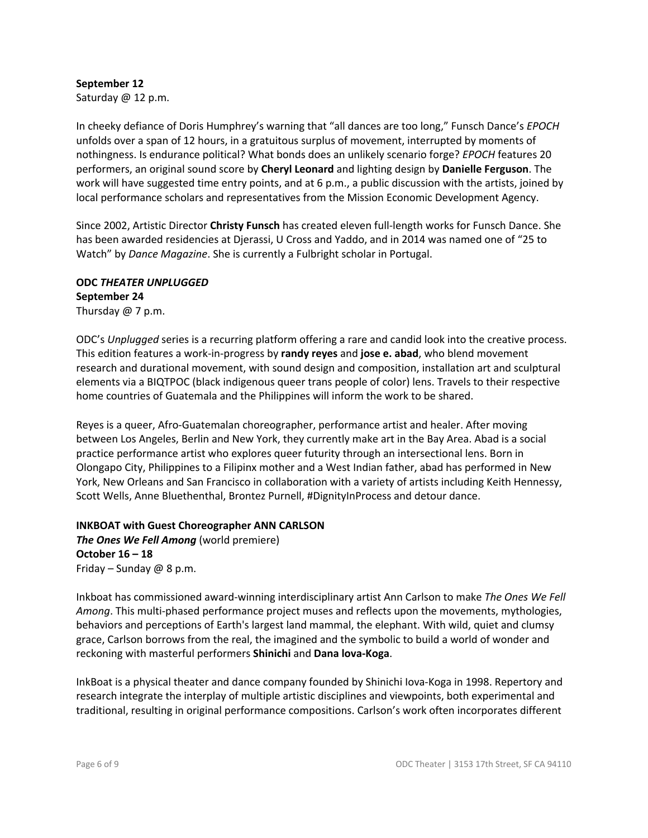# **September 12**

Saturday @ 12 p.m.

In cheeky defiance of Doris Humphrey's warning that "all dances are too long," Funsch Dance's *EPOCH* unfolds over a span of 12 hours, in a gratuitous surplus of movement, interrupted by moments of nothingness. Is endurance political? What bonds does an unlikely scenario forge? *EPOCH* features 20 performers, an original sound score by **Cheryl Leonard** and lighting design by **Danielle Ferguson**. The work will have suggested time entry points, and at 6 p.m., a public discussion with the artists, joined by local performance scholars and representatives from the Mission Economic Development Agency.

Since 2002, Artistic Director **Christy Funsch** has created eleven full-length works for Funsch Dance. She has been awarded residencies at Djerassi, U Cross and Yaddo, and in 2014 was named one of "25 to Watch" by *Dance Magazine*. She is currently a Fulbright scholar in Portugal.

#### **ODC** *THEATER UNPLUGGED* **September 24** Thursday @ 7 p.m.

ODC's *Unplugged* series is a recurring platform offering a rare and candid look into the creative process. This edition features a work-in-progress by **randy reyes** and **jose e. abad**, who blend movement research and durational movement, with sound design and composition, installation art and sculptural elements via a BIQTPOC (black indigenous queer trans people of color) lens. Travels to their respective home countries of Guatemala and the Philippines will inform the work to be shared.

Reyes is a queer, Afro-Guatemalan choreographer, performance artist and healer. After moving between Los Angeles, Berlin and New York, they currently make art in the Bay Area. Abad is a social practice performance artist who explores queer futurity through an intersectional lens. Born in Olongapo City, Philippines to a Filipinx mother and a West Indian father, abad has performed in New York, New Orleans and San Francisco in collaboration with a variety of artists including Keith Hennessy, Scott Wells, Anne Bluethenthal, Brontez Purnell, #DignityInProcess and detour dance.

#### **INKBOAT with Guest Choreographer ANN CARLSON** *The Ones We Fell Among* (world premiere) **October 16 – 18**

Friday – Sunday  $@$  8 p.m.

Inkboat has commissioned award-winning interdisciplinary artist Ann Carlson to make *The Ones We Fell Among*. This multi-phased performance project muses and reflects upon the movements, mythologies, behaviors and perceptions of Earth's largest land mammal, the elephant. With wild, quiet and clumsy grace, Carlson borrows from the real, the imagined and the symbolic to build a world of wonder and reckoning with masterful performers **Shinichi** and **Dana lova-Koga**.

InkBoat is a physical theater and dance company founded by Shinichi Iova-Koga in 1998. Repertory and research integrate the interplay of multiple artistic disciplines and viewpoints, both experimental and traditional, resulting in original performance compositions. Carlson's work often incorporates different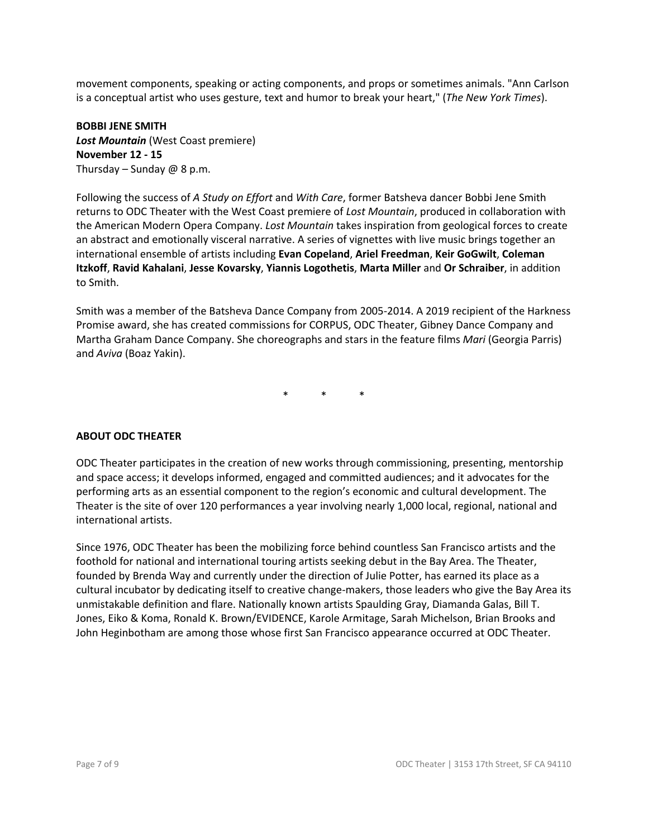movement components, speaking or acting components, and props or sometimes animals. "Ann Carlson is a conceptual artist who uses gesture, text and humor to break your heart," (*The New York Times*).

**BOBBI JENE SMITH** *Lost Mountain* (West Coast premiere) **November 12 - 15** Thursday – Sunday  $@$  8 p.m.

Following the success of *A Study on Effort* and *With Care*, former Batsheva dancer Bobbi Jene Smith returns to ODC Theater with the West Coast premiere of *Lost Mountain*, produced in collaboration with the American Modern Opera Company. *Lost Mountain* takes inspiration from geological forces to create an abstract and emotionally visceral narrative. A series of vignettes with live music brings together an international ensemble of artists including **Evan Copeland**, **Ariel Freedman**, **Keir GoGwilt**, **Coleman Itzkoff**, **Ravid Kahalani**, **Jesse Kovarsky**, **Yiannis Logothetis**, **Marta Miller** and **Or Schraiber**, in addition to Smith.

Smith was a member of the Batsheva Dance Company from 2005-2014. A 2019 recipient of the Harkness Promise award, she has created commissions for CORPUS, ODC Theater, Gibney Dance Company and Martha Graham Dance Company. She choreographs and stars in the feature films *Mari* (Georgia Parris) and *Aviva* (Boaz Yakin).

\* \* \*

#### **ABOUT ODC THEATER**

ODC Theater participates in the creation of new works through commissioning, presenting, mentorship and space access; it develops informed, engaged and committed audiences; and it advocates for the performing arts as an essential component to the region's economic and cultural development. The Theater is the site of over 120 performances a year involving nearly 1,000 local, regional, national and international artists.

Since 1976, ODC Theater has been the mobilizing force behind countless San Francisco artists and the foothold for national and international touring artists seeking debut in the Bay Area. The Theater, founded by Brenda Way and currently under the direction of Julie Potter, has earned its place as a cultural incubator by dedicating itself to creative change-makers, those leaders who give the Bay Area its unmistakable definition and flare. Nationally known artists Spaulding Gray, Diamanda Galas, Bill T. Jones, Eiko & Koma, Ronald K. Brown/EVIDENCE, Karole Armitage, Sarah Michelson, Brian Brooks and John Heginbotham are among those whose first San Francisco appearance occurred at ODC Theater.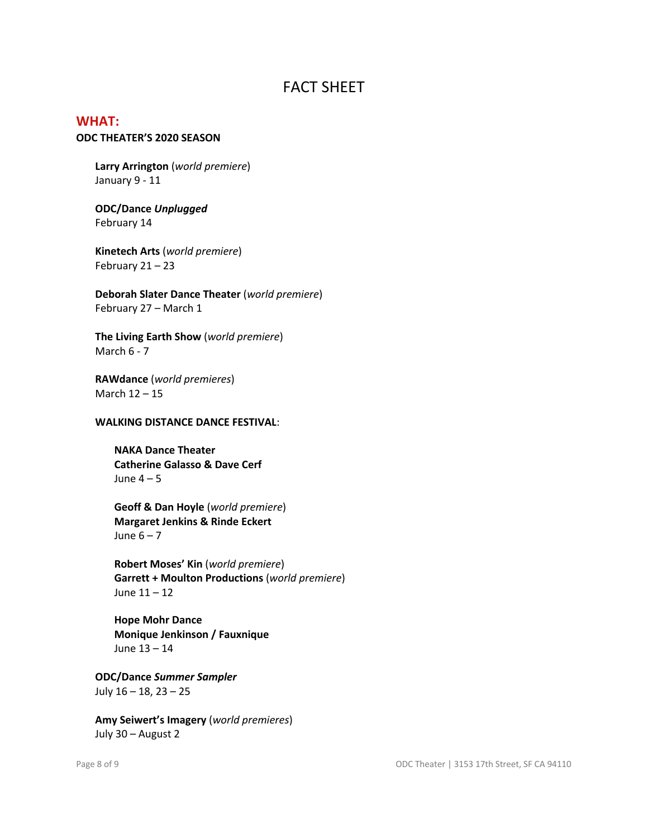# FACT SHEET

# **WHAT:**

## **ODC THEATER'S 2020 SEASON**

**Larry Arrington** (*world premiere*) January 9 - 11

#### **ODC/Dance** *Unplugged* February 14

**Kinetech Arts** (*world premiere*) February 21 – 23

**Deborah Slater Dance Theater** (*world premiere*) February 27 – March 1

**The Living Earth Show** (*world premiere*) March 6 - 7

**RAWdance** (*world premieres*) March 12 – 15

#### **WALKING DISTANCE DANCE FESTIVAL**:

**NAKA Dance Theater Catherine Galasso & Dave Cerf** June  $4 - 5$ 

**Geoff & Dan Hoyle** (*world premiere*) **Margaret Jenkins & Rinde Eckert** June  $6 - 7$ 

**Robert Moses' Kin** (*world premiere*) **Garrett + Moulton Productions** (*world premiere*) June 11 – 12

**Hope Mohr Dance Monique Jenkinson / Fauxnique** June 13 – 14

**ODC/Dance** *Summer Sampler* July 16 – 18, 23 – 25

**Amy Seiwert's Imagery** (*world premieres*) July 30 – August 2